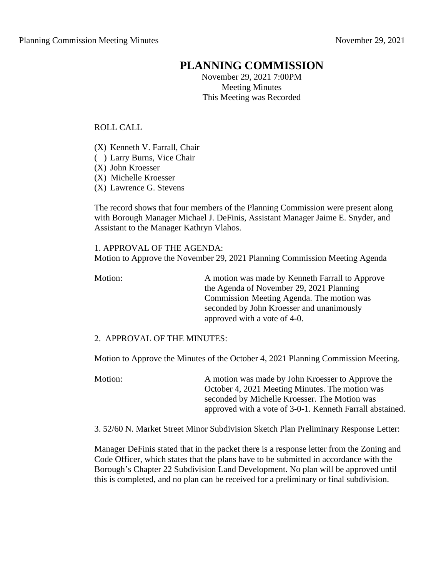## **PLANNING COMMISSION**

November 29, 2021 7:00PM Meeting Minutes This Meeting was Recorded

ROLL CALL

- (X) Kenneth V. Farrall, Chair
- ( ) Larry Burns, Vice Chair
- (X) John Kroesser
- (X) Michelle Kroesser
- (X) Lawrence G. Stevens

The record shows that four members of the Planning Commission were present along with Borough Manager Michael J. DeFinis, Assistant Manager Jaime E. Snyder, and Assistant to the Manager Kathryn Vlahos.

1. APPROVAL OF THE AGENDA: Motion to Approve the November 29, 2021 Planning Commission Meeting Agenda

Motion: A motion was made by Kenneth Farrall to Approve the Agenda of November 29, 2021 Planning Commission Meeting Agenda. The motion was seconded by John Kroesser and unanimously approved with a vote of 4-0.

2. APPROVAL OF THE MINUTES:

Motion to Approve the Minutes of the October 4, 2021 Planning Commission Meeting.

Motion: A motion was made by John Kroesser to Approve the October 4, 2021 Meeting Minutes. The motion was seconded by Michelle Kroesser. The Motion was approved with a vote of 3-0-1. Kenneth Farrall abstained.

3. 52/60 N. Market Street Minor Subdivision Sketch Plan Preliminary Response Letter:

Manager DeFinis stated that in the packet there is a response letter from the Zoning and Code Officer, which states that the plans have to be submitted in accordance with the Borough's Chapter 22 Subdivision Land Development. No plan will be approved until this is completed, and no plan can be received for a preliminary or final subdivision.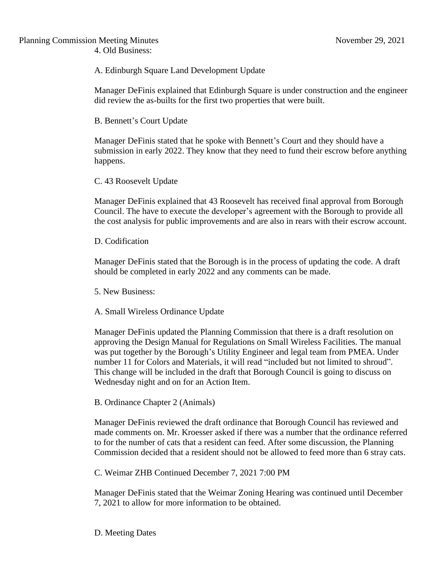A. Edinburgh Square Land Development Update

Manager DeFinis explained that Edinburgh Square is under construction and the engineer did review the as-builts for the first two properties that were built.

B. Bennett's Court Update

Manager DeFinis stated that he spoke with Bennett's Court and they should have a submission in early 2022. They know that they need to fund their escrow before anything happens.

C. 43 Roosevelt Update

Manager DeFinis explained that 43 Roosevelt has received final approval from Borough Council. The have to execute the developer's agreement with the Borough to provide all the cost analysis for public improvements and are also in rears with their escrow account.

D. Codification

Manager DeFinis stated that the Borough is in the process of updating the code. A draft should be completed in early 2022 and any comments can be made.

5. New Business:

A. Small Wireless Ordinance Update

Manager DeFinis updated the Planning Commission that there is a draft resolution on approving the Design Manual for Regulations on Small Wireless Facilities. The manual was put together by the Borough's Utility Engineer and legal team from PMEA. Under number 11 for Colors and Materials, it will read "included but not limited to shroud". This change will be included in the draft that Borough Council is going to discuss on Wednesday night and on for an Action Item.

B. Ordinance Chapter 2 (Animals)

Manager DeFinis reviewed the draft ordinance that Borough Council has reviewed and made comments on. Mr. Kroesser asked if there was a number that the ordinance referred to for the number of cats that a resident can feed. After some discussion, the Planning Commission decided that a resident should not be allowed to feed more than 6 stray cats.

C. Weimar ZHB Continued December 7, 2021 7:00 PM

Manager DeFinis stated that the Weimar Zoning Hearing was continued until December 7, 2021 to allow for more information to be obtained.

D. Meeting Dates